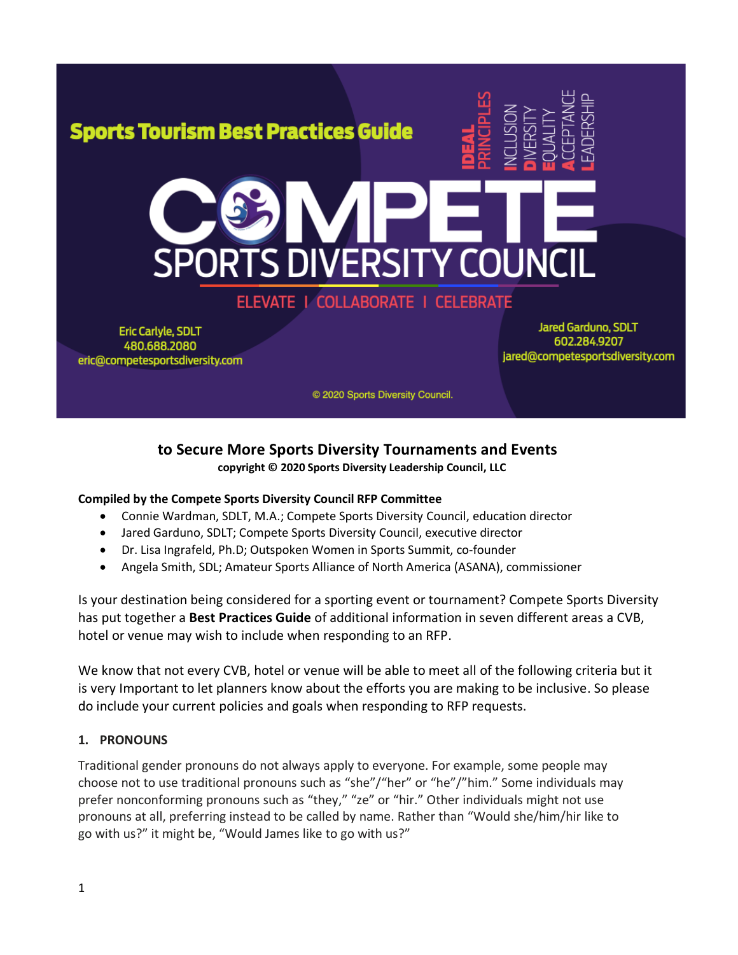

### ELEVATE | COLLABORATE | CELEBRATE

Eric Carlyle, SDLT 480.688.2080 eric@competesportsdiversity.com

**Jared Garduno, SDLT** 602.284.9207 jared@competesportsdiversity.com

© 2020 Sports Diversity Council.

#### **to Secure More Sports Diversity Tournaments and Events copyright © 2020 Sports Diversity Leadership Council, LLC**

### **Compiled by the Compete Sports Diversity Council RFP Committee**

- Connie Wardman, SDLT, M.A.; Compete Sports Diversity Council, education director
- Jared Garduno, SDLT; Compete Sports Diversity Council, executive director
- Dr. Lisa Ingrafeld, Ph.D; Outspoken Women in Sports Summit, co-founder
- Angela Smith, SDL; Amateur Sports Alliance of North America (ASANA), commissioner

Is your destination being considered for a sporting event or tournament? Compete Sports Diversity has put together a **Best Practices Guide** of additional information in seven different areas a CVB, hotel or venue may wish to include when responding to an RFP.

We know that not every CVB, hotel or venue will be able to meet all of the following criteria but it is very Important to let planners know about the efforts you are making to be inclusive. So please do include your current policies and goals when responding to RFP requests.

#### **1. PRONOUNS**

Traditional gender pronouns do not always apply to everyone. For example, some people may choose not to use traditional pronouns such as "she"/"her" or "he"/"him." Some individuals may prefer nonconforming pronouns such as "they," "ze" or "hir." Other individuals might not use pronouns at all, preferring instead to be called by name. Rather than "Would she/him/hir like to go with us?" it might be, "Would James like to go with us?"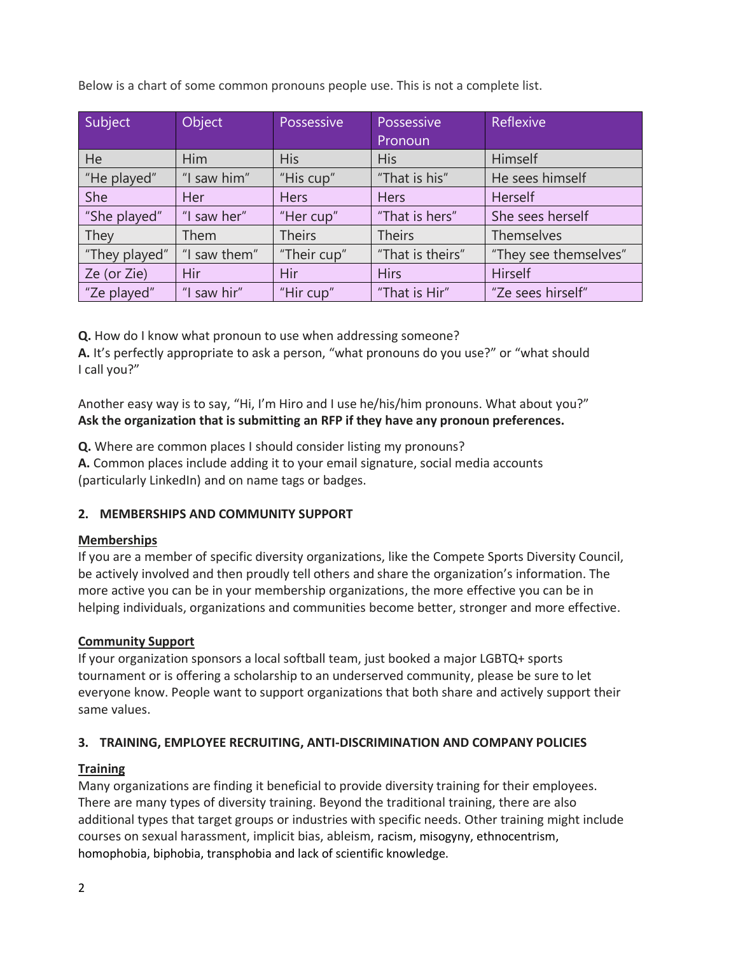Below is a chart of some common pronouns people use. This is not a complete list.

| Subject       | Object       | Possessive    | Possessive       | Reflexive             |
|---------------|--------------|---------------|------------------|-----------------------|
|               |              |               | Pronoun          |                       |
| <b>He</b>     | <b>Him</b>   | <b>His</b>    | <b>His</b>       | Himself               |
| "He played"   | "I saw him"  | "His cup"     | "That is his"    | He sees himself       |
| She           | Her          | <b>Hers</b>   | <b>Hers</b>      | Herself               |
| "She played"  | "I saw her"  | "Her cup"     | "That is hers"   | She sees herself      |
| They          | Them         | <b>Theirs</b> | <b>Theirs</b>    | Themselves            |
| "They played" | "I saw them" | "Their cup"   | "That is theirs" | "They see themselves" |
| Ze (or Zie)   | Hir          | Hir           | <b>Hirs</b>      | Hirself               |
| "Ze played"   | "I saw hir"  | "Hir cup"     | "That is Hir"    | "Ze sees hirself"     |

**Q.** How do I know what pronoun to use when addressing someone?

**A.** It's perfectly appropriate to ask a person, "what pronouns do you use?" or "what should I call you?"

Another easy way is to say, "Hi, I'm Hiro and I use he/his/him pronouns. What about you?" **Ask the organization that is submitting an RFP if they have any pronoun preferences.** 

**Q.** Where are common places I should consider listing my pronouns?

**A.** Common places include adding it to your email signature, social media accounts (particularly LinkedIn) and on name tags or badges.

#### **2. MEMBERSHIPS AND COMMUNITY SUPPORT**

#### **Memberships**

If you are a member of specific diversity organizations, like the Compete Sports Diversity Council, be actively involved and then proudly tell others and share the organization's information. The more active you can be in your membership organizations, the more effective you can be in helping individuals, organizations and communities become better, stronger and more effective.

#### **Community Support**

If your organization sponsors a local softball team, just booked a major LGBTQ+ sports tournament or is offering a scholarship to an underserved community, please be sure to let everyone know. People want to support organizations that both share and actively support their same values.

#### **3. TRAINING, EMPLOYEE RECRUITING, ANTI-DISCRIMINATION AND COMPANY POLICIES**

#### **Training**

Many organizations are finding it beneficial to provide diversity training for their employees. There are many types of diversity training. Beyond the traditional training, there are also additional types that target groups or industries with specific needs. Other training might include courses on sexual harassment, implicit bias, ableism, racism, misogyny, ethnocentrism, homophobia, biphobia, transphobia and lack of scientific knowledge.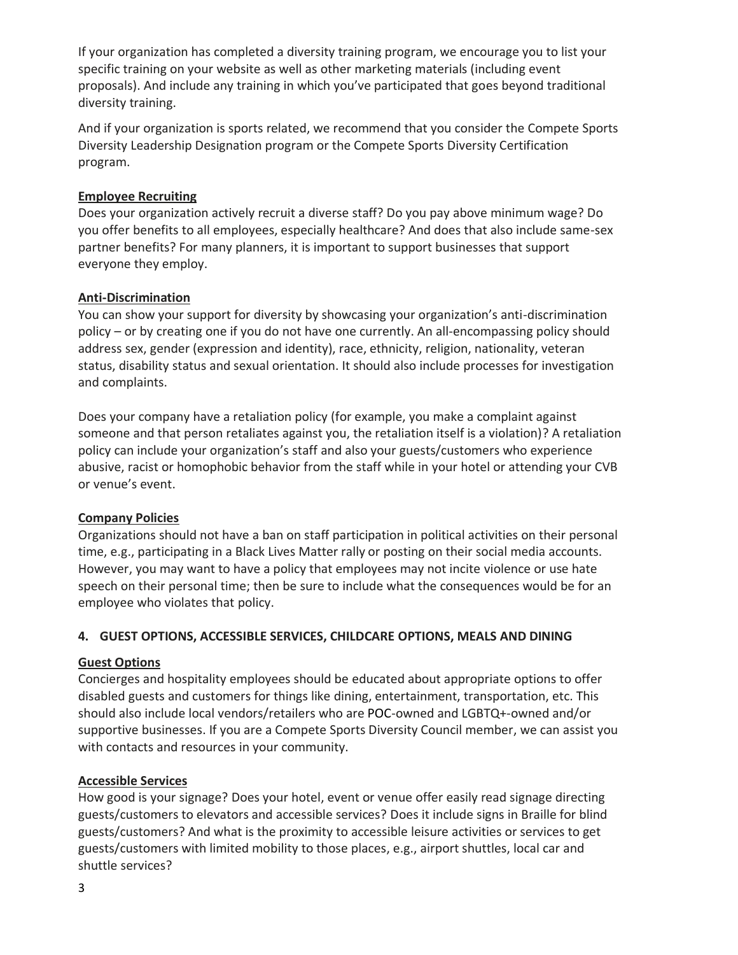If your organization has completed a diversity training program, we encourage you to list your specific training on your website as well as other marketing materials (including event proposals). And include any training in which you've participated that goes beyond traditional diversity training.

And if your organization is sports related, we recommend that you consider the Compete Sports Diversity Leadership Designation program or the Compete Sports Diversity Certification program.

#### **Employee Recruiting**

Does your organization actively recruit a diverse staff? Do you pay above minimum wage? Do you offer benefits to all employees, especially healthcare? And does that also include same-sex partner benefits? For many planners, it is important to support businesses that support everyone they employ.

#### **Anti-Discrimination**

You can show your support for diversity by showcasing your organization's anti-discrimination policy – or by creating one if you do not have one currently. An all-encompassing policy should address sex, gender (expression and identity), race, ethnicity, religion, nationality, veteran status, disability status and sexual orientation. It should also include processes for investigation and complaints.

Does your company have a retaliation policy (for example, you make a complaint against someone and that person retaliates against you, the retaliation itself is a violation)? A retaliation policy can include your organization's staff and also your guests/customers who experience abusive, racist or homophobic behavior from the staff while in your hotel or attending your CVB or venue's event.

#### **Company Policies**

Organizations should not have a ban on staff participation in political activities on their personal time, e.g., participating in a Black Lives Matter rally or posting on their social media accounts. However, you may want to have a policy that employees may not incite violence or use hate speech on their personal time; then be sure to include what the consequences would be for an employee who violates that policy.

#### **4. GUEST OPTIONS, ACCESSIBLE SERVICES, CHILDCARE OPTIONS, MEALS AND DINING**

#### **Guest Options**

Concierges and hospitality employees should be educated about appropriate options to offer disabled guests and customers for things like dining, entertainment, transportation, etc. This should also include local vendors/retailers who are POC-owned and LGBTQ+-owned and/or supportive businesses. If you are a Compete Sports Diversity Council member, we can assist you with contacts and resources in your community.

#### **Accessible Services**

How good is your signage? Does your hotel, event or venue offer easily read signage directing guests/customers to elevators and accessible services? Does it include signs in Braille for blind guests/customers? And what is the proximity to accessible leisure activities or services to get guests/customers with limited mobility to those places, e.g., airport shuttles, local car and shuttle services?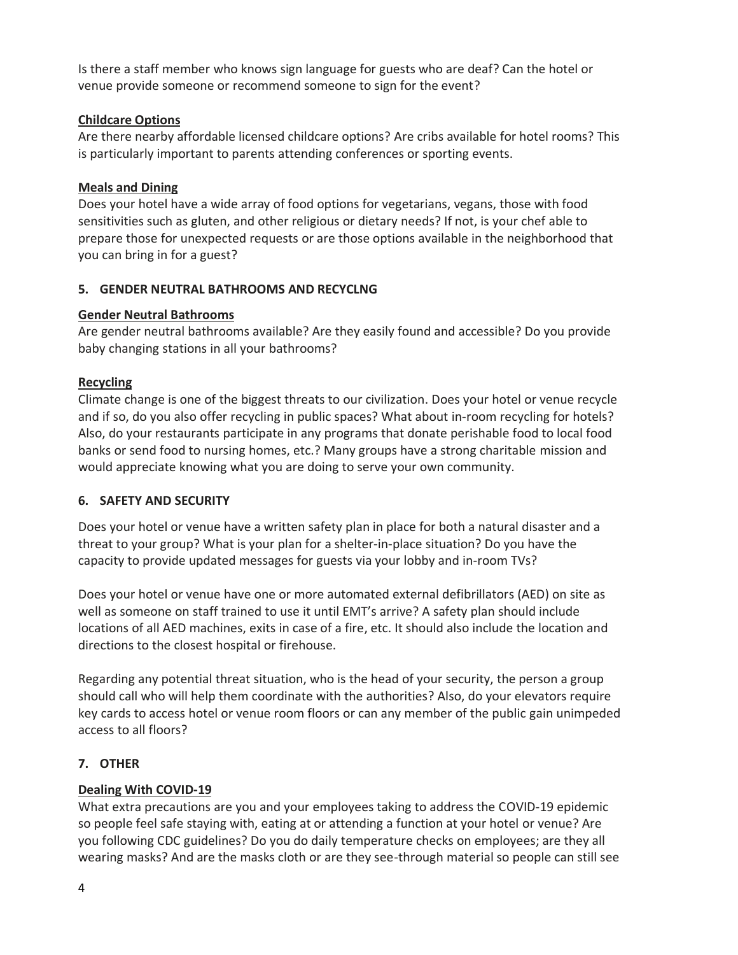Is there a staff member who knows sign language for guests who are deaf? Can the hotel or venue provide someone or recommend someone to sign for the event?

#### **Childcare Options**

Are there nearby affordable licensed childcare options? Are cribs available for hotel rooms? This is particularly important to parents attending conferences or sporting events.

#### **Meals and Dining**

Does your hotel have a wide array of food options for vegetarians, vegans, those with food sensitivities such as gluten, and other religious or dietary needs? If not, is your chef able to prepare those for unexpected requests or are those options available in the neighborhood that you can bring in for a guest?

#### **5. GENDER NEUTRAL BATHROOMS AND RECYCLNG**

#### **Gender Neutral Bathrooms**

Are gender neutral bathrooms available? Are they easily found and accessible? Do you provide baby changing stations in all your bathrooms?

#### **Recycling**

Climate change is one of the biggest threats to our civilization. Does your hotel or venue recycle and if so, do you also offer recycling in public spaces? What about in-room recycling for hotels? Also, do your restaurants participate in any programs that donate perishable food to local food banks or send food to nursing homes, etc.? Many groups have a strong charitable mission and would appreciate knowing what you are doing to serve your own community.

#### **6. SAFETY AND SECURITY**

Does your hotel or venue have a written safety plan in place for both a natural disaster and a threat to your group? What is your plan for a shelter-in-place situation? Do you have the capacity to provide updated messages for guests via your lobby and in-room TVs?

Does your hotel or venue have one or more automated external defibrillators (AED) on site as well as someone on staff trained to use it until EMT's arrive? A safety plan should include locations of all AED machines, exits in case of a fire, etc. It should also include the location and directions to the closest hospital or firehouse.

Regarding any potential threat situation, who is the head of your security, the person a group should call who will help them coordinate with the authorities? Also, do your elevators require key cards to access hotel or venue room floors or can any member of the public gain unimpeded access to all floors?

#### **7. OTHER**

#### **Dealing With COVID-19**

What extra precautions are you and your employees taking to address the COVID-19 epidemic so people feel safe staying with, eating at or attending a function at your hotel or venue? Are you following CDC guidelines? Do you do daily temperature checks on employees; are they all wearing masks? And are the masks cloth or are they see-through material so people can still see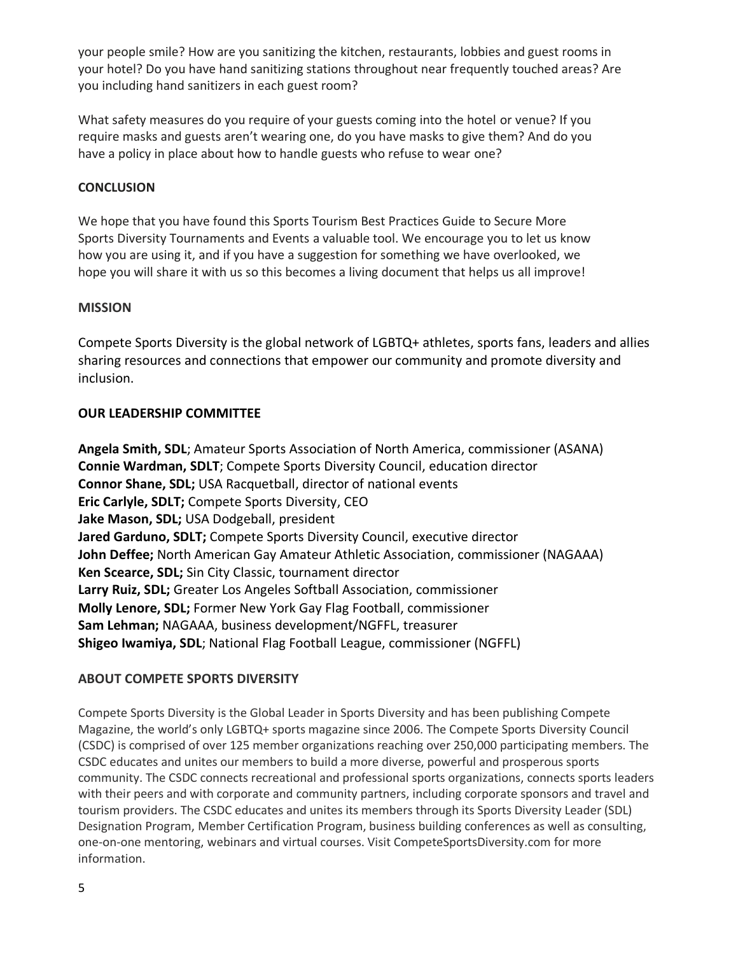your people smile? How are you sanitizing the kitchen, restaurants, lobbies and guest rooms in your hotel? Do you have hand sanitizing stations throughout near frequently touched areas? Are you including hand sanitizers in each guest room?

What safety measures do you require of your guests coming into the hotel or venue? If you require masks and guests aren't wearing one, do you have masks to give them? And do you have a policy in place about how to handle guests who refuse to wear one?

#### **CONCLUSION**

We hope that you have found this Sports Tourism Best Practices Guide to Secure More Sports Diversity Tournaments and Events a valuable tool. We encourage you to let us know how you are using it, and if you have a suggestion for something we have overlooked, we hope you will share it with us so this becomes a living document that helps us all improve!

#### **MISSION**

Compete Sports Diversity is the global network of LGBTQ+ athletes, sports fans, leaders and allies sharing resources and connections that empower our community and promote diversity and inclusion.

#### **OUR LEADERSHIP COMMITTEE**

**Angela Smith, SDL**; Amateur Sports Association of North America, commissioner (ASANA) **Connie Wardman, SDLT**; Compete Sports Diversity Council, education director **Connor Shane, SDL;** USA Racquetball, director of national events **Eric Carlyle, SDLT;** Compete Sports Diversity, CEO **Jake Mason, SDL;** USA Dodgeball, president **Jared Garduno, SDLT;** Compete Sports Diversity Council, executive director **John Deffee;** North American Gay Amateur Athletic Association, commissioner (NAGAAA) **Ken Scearce, SDL;** Sin City Classic, tournament director **Larry Ruiz, SDL;** Greater Los Angeles Softball Association, commissioner **Molly Lenore, SDL;** Former New York Gay Flag Football, commissioner **Sam Lehman;** NAGAAA, business development/NGFFL, treasurer **Shigeo Iwamiya, SDL**; National Flag Football League, commissioner (NGFFL)

#### **ABOUT COMPETE SPORTS DIVERSITY**

Compete Sports Diversity is the Global Leader in Sports Diversity and has been publishing Compete Magazine, the world's only LGBTQ+ sports magazine since 2006. The Compete Sports Diversity Council (CSDC) is comprised of over 125 member organizations reaching over 250,000 participating members. The CSDC educates and unites our members to build a more diverse, powerful and prosperous sports community. The CSDC connects recreational and professional sports organizations, connects sports leaders with their peers and with corporate and community partners, including corporate sponsors and travel and tourism providers. The CSDC educates and unites its members through its Sports Diversity Leader (SDL) Designation Program, Member Certification Program, business building conferences as well as consulting, one-on-one mentoring, webinars and virtual courses. Visit CompeteSportsDiversity.com for more information.